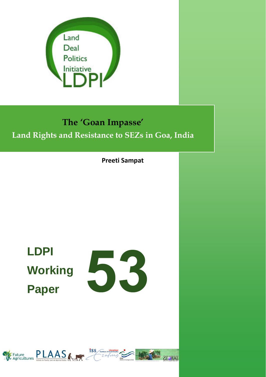

# **The 'Goan Impasse'**

# **Land Rights and Resistance to SEZs in Goa, India**

### **Preeti Sampat**

# **LDPI Working Paper**



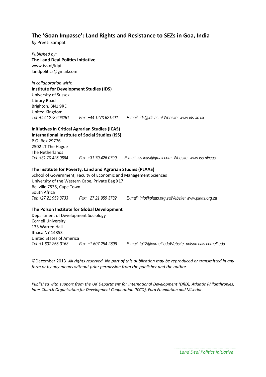#### **The 'Goan Impasse': Land Rights and Resistance to SEZs in Goa, India**

*by* Preeti Sampat

*Published by:* **The Land Deal Politics Initiative** www.iss.nl/ldpi landpolitics@gmail.com

*in collaboration with:*  **Institute for Development Studies (IDS)** University of Sussex Library Road Brighton, BN1 9RE United Kingdom *Tel: +44 1273 606261 Fax: +44 1273 621202 E-mail: ids@ids.ac.ukWebsite: www.ids.ac.uk* 

#### **Initiatives in Critical Agrarian Studies (ICAS)**

**International Institute of Social Studies (ISS)** P.O. Box 29776 2502 LT The Hague The Netherlands *Tel: +31 70 426 0664 Fax: +31 70 426 0799 E-mail: iss.icas@gmail.com Website: www.iss.nl/icas*

#### **The Institute for Poverty, Land and Agrarian Studies (PLAAS)**

School of Government, Faculty of Economic and Management Sciences University of the Western Cape, Private Bag X17 Bellville 7535, Cape Town South Africa *Tel: +27 21 959 3733 Fax: +27 21 959 3732 E-mail: info@plaas.org.zaWebsite: www.plaas.org.za* 

#### **The Polson Institute for Global Development**

Department of Development Sociology Cornell University 133 Warren Hall Ithaca NY 14853 United States of America

*Tel: +1 607 255-3163 Fax: +1 607 254-2896 E-mail: ta12@cornell.edu Website: polson.cals.cornell.edu* 

©December 2013 *All rights reserved. No part of this publication may be reproduced or transmitted in any form or by any means without prior permission from the publisher and the author.*

*Published with support from the UK Department for International Development (DfID), Atlantic Philanthropies, Inter‐Church Organization for Development Cooperation (ICCO), Ford Foundation and Miserior.*

*Land Deal Politics Initiative*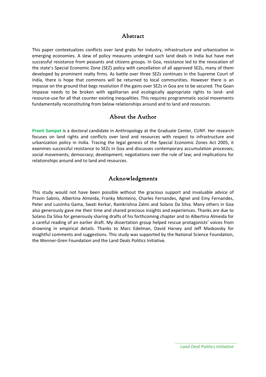#### Abstract

This paper contextualizes conflicts over land grabs for industry, infrastructure and urbanization in emerging economies. A slew of policy measures undergird such land deals in India but have met successful resistance from peasants and citizens groups. In Goa, resistance led to the revocation of the state's Special Economic Zone (SEZ) policy with cancellation of all approved SEZs, many of them developed by prominent realty firms. As battle over three SEZs continues in the Supreme Court of India, there is hope that commons will be returned to local communities. However there is an impasse on the ground that begs resolution if the gains over SEZs in Goa are to be secured. The Goan Impasse needs to be broken with egalitarian and ecologically appropriate rights to land‐ and resource‐use for all that counter existing inequalities. This requires programmatic social movements fundamentally reconstituting from below relationships around and to land and resources.

#### About the Author

**Preeti Sampat** is a doctoral candidate in Anthropology at the Graduate Center, CUNY. Her research focuses on land rights and conflicts over land and resources with respect to infrastructure and urbanization policy in India. Tracing the legal genesis of the Special Economic Zones Act 2005, it examines successful resistance to SEZs in Goa and discusses contemporary accumulation processes; social movements; democracy; development; negotiations over the rule of law; and implications for relationships around and to land and resources.

#### Acknowledgments

This study would not have been possible without the gracious support and invaluable advice of Pravin Sabnis, Albertina Almeida, Franky Monteiro, Charles Fernandes, Agnel and Emy Fernandes, Peter and Luizinha Gama, Swati Kerkar, Ramkrishna Zalmi and Solano Da Silva. Many others in Goa also generously gave me their time and shared precious insights and experiences. Thanks are due to Solano Da Silva for generously sharing drafts of his forthcoming chapter and to Albertina Almeida for a careful reading of an earlier draft. My dissertation group helped rescue protagonists' voices from drowning in empirical details. Thanks to Marc Edelman, David Harvey and Jeff Maskovsky for insightful comments and suggestions. This study was supported by the National Science Foundation, the Wenner‐Gren Foundation and the Land Deals Politics Initiative.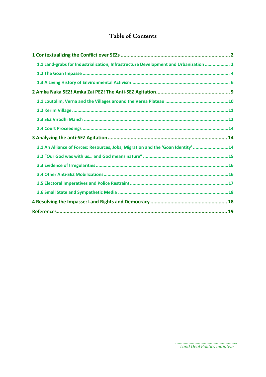## Table of Contents

| 1.1 Land-grabs for Industrialization, Infrastructure Development and Urbanization  2 |  |
|--------------------------------------------------------------------------------------|--|
|                                                                                      |  |
|                                                                                      |  |
|                                                                                      |  |
|                                                                                      |  |
|                                                                                      |  |
|                                                                                      |  |
|                                                                                      |  |
|                                                                                      |  |
| 3.1 An Alliance of Forces: Resources, Jobs, Migration and the 'Goan Identity' 14     |  |
|                                                                                      |  |
|                                                                                      |  |
|                                                                                      |  |
|                                                                                      |  |
|                                                                                      |  |
|                                                                                      |  |
|                                                                                      |  |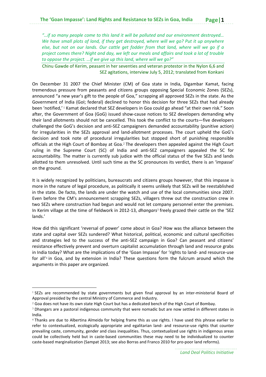*"…if so many people come to this land it will be polluted and our environment destroyed… We have small plots of land, if they get destroyed, where will we go? Put it up anywhere else, but not on our lands. Our cattle get fodder from that land, where will we go if a project comes there? Night and day, we left our meals and affairs and took a lot of trouble to oppose the project. …if we give up this land, where will we go?"* 

Chinu Gawde of Kerim, peasant in her seventies and veteran protestor in the Nylon 6,6 and SEZ agitations, interview July 5, 2012; translated from Konkani

On December 31 2007 the Chief Minister (CM) of Goa state in India, Digambar Kamat, facing tremendous pressure from peasants and citizens groups opposing Special Economic Zones (SEZs), announced "a new year's gift to the people of Goa," scrapping all approved SEZs in the state. As the Government of India (GoI; federal) declined to honor this decision for three SEZs that had already been 'notified,'<sup>1</sup> Kamat declared that SEZ developers in Goa could go ahead "at their own risk." Soon after, the Government of Goa (GoG) issued show‐cause notices to SEZ developers demanding why their land allotments should not be cancelled. This took the conflict to the courts—five developers challenged the GoG's decision and anti‐SEZ campaigners demanded accountability (punitive action) for irregularities in the SEZs approval and land-allotment processes. The court upheld the GoG's decision and took note of procedural irregularities but stopped short of punishing responsible officials at the High Court of Bombay at Goa.<sup>2</sup> The developers then appealed against the High Court ruling in the Supreme Court (SC) of India and anti‐SEZ campaigners appealed the SC for accountability. The matter is currently sub judice with the official status of the five SEZs and lands allotted to them unresolved. Until such time as the SC pronounces its verdict, there is an 'impasse' on the ground.

It is widely recognized by politicians, bureaucrats and citizens groups however, that this impasse is more in the nature of legal procedure, as politically it seems unlikely that SEZs will be reestablished in the state. De facto, the lands are under the watch and use of the local communities since 2007. Even before the CM's announcement scrapping SEZs, villagers threw out the construction crew in two SEZs where construction had begun and would not let company personnel enter the premises. In Kerim village at the time of fieldwork in 2012‐13, *dhangars*<sup>3</sup> freely grazed their cattle on the 'SEZ lands.'

How did this significant 'reversal of power' come about in Goa? How was the alliance between the state and capital over SEZs sundered? What historical, political, economic and cultural specificities and strategies led to the success of the anti‐SEZ campaign in Goa? Can peasant and citizens' resistance effectively prevent and overturn capitalist accumulation through land and resource grabs in India today? What are the implications of the 'Goan Impasse' for 'rights to land‐ and resource‐use for all'<sup>4</sup> in Goa, and by extension in India? These questions form the fulcrum around which the arguments in this paper are organized.

<sup>1</sup> SEZs are recommended by state governments but given final approval by an inter‐ministerial Board of Approval presided by the central Ministry of Commerce and Industry.<br><sup>2</sup> Goa does not have its own state High Court but has a dedicated bench of the High Court of Bombay.<br><sup>3</sup> Dhangars are a pastoral indigenous community tha

India.

<sup>4</sup> Thanks are due to Albertina Almeida for helping frame this as use rights. I have used this phrase earlier to refer to contextualized, ecologically appropriate and egalitarian land- and resource-use rights that counter prevailing caste, community, gender and class inequalities. Thus, contextualized use rights in indigenous areas could be collectively held but in caste‐based communities these may need to be individualized to counter caste-based marginalization (Sampat 2013; see also Borras and Franco 2010 for pro-poor land reforms).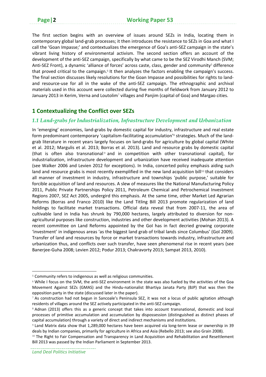The first section begins with an overview of issues around SEZs in India, locating them in contemporary global land-grab processes; it then introduces the resistance to SEZs in Goa and what I call the 'Goan Impasse;' and contextualizes the emergence of Goa's anti‐SEZ campaign in the state's vibrant living history of environmental activism. The second section offers an account of the development of the anti‐SEZ campaign, specifically by what came to be the SEZ Virodhi Manch (SVM; Anti-SEZ Front), a dynamic 'alliance of forces' across caste, class, gender and community<sup>5</sup> difference that proved critical to the campaign.<sup>6</sup> It then analyzes the factors enabling the campaign's success. The final section discusses likely resolutions for the Goan Impasse and possibilities for rights to land‐ and resource-use for all in the wake of the anti-SEZ campaign. The ethnographic and archival materials used in this account were collected during five months of fieldwork from January 2012 to January 2013 in Kerim, Verna and Loutolim<sup>7</sup> villages and Panjim (capital of Goa) and Margao cities.

#### **1 Contextualizing the Conflict over SEZs**

#### *1.1 Land-grabs for Industrialization, Infrastructure Development and Urbanization*

In 'emerging' economies, land‐grabs by domestic capital for industry, infrastructure and real estate form predominant contemporary 'capitalism-facilitating accumulation'<sup>8</sup> strategies. Much of the landgrab literature in recent years largely focuses on land‐grabs for agriculture by global capital (White et al. 2012; Margulis et al. 2013; Borras et al. 2013). Land and resource grabs by domestic capital (that is often also transnational<sup>9</sup> and in competition with other transnational capital), for industrialization, infrastructure development and urbanization have received inadequate attention (see Walker 2006 and Levien 2012 for exceptions). In India, concerted policy emphasis aiding such land and resource grabs is most recently exemplified in the new land acquisition bill<sup>10</sup> that considers all manner of investment in industry, infrastructure and townships 'public purpose,' suitable for forcible acquisition of land and resources. A slew of measures like the National Manufacturing Policy 2011, Public Private Partnerships Policy 2011, Petroleum Chemical and Petrochemical Investment Regions 2007, SEZ Act 2005, undergird this emphasis. At the same time, other Market Led Agrarian Reforms (Borras and Franco 2010) like the Land Titling Bill 2013 promote regularization of land holdings to facilitate market transactions. Official data reveal that from 2007-11, the area of cultivable land in India has shrunk by 790,000 hectares, largely attributed to diversion for non‐ agricultural purposes like construction, industries and other development activities (Mohan 2013). A recent committee on Land Reforms appointed by the GoI has in fact decried growing corporate 'investment' in indigenous areas 'as the biggest land grab of tribal lands since Columbus' (GoI 2009). Transfer of land and resources by force or market transactions towards industry, infrastructure and urbanization thus, and conflicts over such transfer, have seen phenomenal rise in recent years (see Banerjee‐Guha 2008; Levien 2012; Podur 2013; Chakravorty 2013; Sampat 2013, 2010).

<sup>&</sup>lt;sup>5</sup> Community refers to indigenous as well as religious communities.

<sup>6</sup> While I focus on the SVM, the anti‐SEZ environment in the state was also fueled by the activities of the Goa Movement Against SEZs (GMAS) and the Hindu-nationalist Bhartiya Janata Party (BJP) that was then the opposition party in the state (discussed later in the paper).

<sup>7</sup> As construction had not begun in Sancoale's Peninsula SEZ, it was not a locus of public agitation although residents of villages around the SEZ actively participated in the anti-SEZ campaign.<br>8 Adnan (2013) offers this as a generic concept that takes into account transnational, domestic and local

processes of primitive accumulation and accumulation by dispossession (distinguished as distinct phases of capital accumulation) through a variety of direct and indirect mechanisms and institutions.

<sup>9</sup> Land Matrix data show that 1,289,000 hectares have been acquired via long-term lease or ownership in 39 deals by Indian companies, primarily for agriculture in Africa and Asia (Rebello 2013; see also Grain 2008).

<sup>&</sup>lt;sup>10</sup> The Right to Fair Compensation and Transparency in Land Acquisition and Rehabilitation and Resettlement Bill 2013 was passed by the Indian Parliament in September 2013.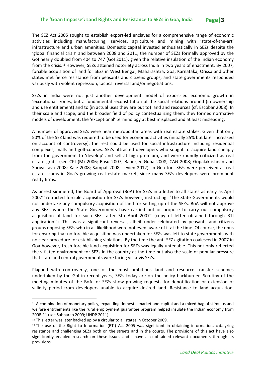The SEZ Act 2005 sought to establish export‐led enclaves for a comprehensive range of economic activities including manufacturing, services, agriculture and mining with 'state-of-the-art' infrastructure and urban amenities. Domestic capital invested enthusiastically in SEZs despite the 'global financial crisis' and between 2008 and 2011, the number of SEZs formally approved by the GoI nearly doubled from 404 to 747 (GoI 2011), given the relative insulation of the Indian economy from the crisis.<sup>11</sup> However, SEZs attained notoriety across India in two years of enactment. By 2007, forcible acquisition of land for SEZs in West Bengal, Maharashtra, Goa, Karnataka, Orissa and other states met fierce resistance from peasants and citizens groups, and state governments responded variously with violent repression, tactical reversal and/or negotiations.

SEZs in India were not just another development model of export-led economic growth in 'exceptional' zones, but a fundamental reconstitution of the social relations around (in ownership and use entitlement) and to (in actual uses they are put to) land and resources (cf. Escobar 2008). In their scale and scope, and the broader field of policy contextualizing them, they formed normative models of development; the 'exceptional' terminology at best misplaced and at least misleading.

A number of approved SEZs were near metropolitan areas with real estate stakes. Given that only 50% of the SEZ land was required to be used for economic activities (initially 25% but later increased on account of controversy), the rest could be used for social infrastructure including residential complexes, malls and golf‐courses. SEZs attracted developers who sought to acquire land cheaply from the government to 'develop' and sell at high premium, and were roundly criticized as real estate grabs (see CPI (M) 2006; Basu 2007; Banerjee‐Guha 2008; CAG 2008; Gopalakrishnan and Shrivastava 2008; Kale 2008; Sampat 2008; Levien 2012). In Goa too, SEZs were perceived as real estate scams in Goa's growing real estate market, since many SEZs developers were prominent realty firms.

As unrest simmered, the Board of Approval (BoA) for SEZs in a letter to all states as early as April 2007<sup>12</sup> retracted forcible acquisition for SEZs however, instructing: "The State Governments would not undertake any compulsory acquisition of land for setting up of the SEZs. BoA will not approve any SEZs where the State Governments have carried out or propose to carry out compulsory acquisition of land for such SEZs after 5th April 2007" (copy of letter obtained through RTI application<sup>13</sup>). This was a significant reversal, albeit under-celebrated by peasants and citizens groups opposing SEZs who in all likelihood were not even aware of it at the time. Of course, the onus for ensuring that no forcible acquisition was undertaken for SEZs was left to state governments with no clear procedure for establishing violations. By the time the anti‐SEZ agitation coalesced in 2007 in Goa however, fresh forcible land acquisition for SEZs was legally untenable. This not only reflected the vitiated environment for SEZs in the country at the time but also the scale of popular pressure that state and central governments were facing vis‐à‐vis SEZs.

Plagued with controversy, one of the most ambitious land and resource transfer schemes undertaken by the GoI in recent years, SEZs today are on the policy backburner. Scrutiny of the meeting minutes of the BoA for SEZs show growing requests for denotification or extension of validity period from developers unable to acquire desired land. Resistance to land acquisition,

 $11$  A combination of monetary policy, expanding domestic market and capital and a mixed-bag of stimulus and welfare entitlements like the rural employment guarantee program helped insulate the Indian economy from 2008‐11 (see Subbarao 2009; UNDP 2011).

<sup>&</sup>lt;sup>12</sup> This letter was later backed up by a circular to all states in October 2009.

<sup>&</sup>lt;sup>13</sup> The use of the Right to Information (RTI) Act 2005 was significant in obtaining information, catalyzing resistance and challenging SEZs both on the streets and in the courts. The provisions of this act have also significantly enabled research on these issues and I have also obtained relevant documents through its provisions.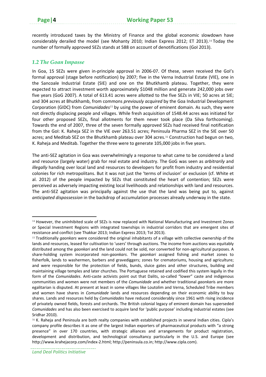recently introduced taxes by the Ministry of Finance and the global economic slowdown have considerably derailed the model (see Mohanty 2010; Indian Express 2012; ET 2013).<sup>14</sup> Today the number of formally approved SEZs stands at 588 on account of denotifications (GoI 2013).

#### *1.2 The Goan Impasse*

In Goa, 15 SEZs were given in-principle approval in 2006-07. Of these, seven received the GoI's formal approval (stage before notification) by 2007; five in the Verna Industrial Estate (VIE), one in the Sancoale Industrial Estate (SIE) and one on the Bhutkhamb plateau. Together, they were expected to attract investment worth approximately \$1048 million and generate 242,000 jobs over five years (GoG 2007). A total of 613.41 acres were allotted to the five SEZs in VIE; 50 acres at SIE; and 304 acres at Bhutkhamb, from commons *previously acquired* by the Goa Industrial Development Corporation (GIDC) from *Comunidades*<sup>15</sup> by using the power of eminent domain. As such, they were not directly displacing people and villages. While fresh acquisition of 1548.44 acres was initiated for four other proposed SEZs, final allotments for them never took place (Da Silva forthcoming). Towards the end of 2007, three of the seven formally approved SEZs had received final notification from the GoI: K. Raheja SEZ in the VIE over 263.51 acres; Peninsula Pharma SEZ in the SIE over 50 acres; and Meditab SEZ on the Bhutkhamb plateau over 304 acres.<sup>16</sup> Construction had begun on two, K. Raheja and Meditab. Together the three were to generate 105,000 jobs in five years.

The anti‐SEZ agitation in Goa was overwhelmingly a response to what came to be considered a land and resource (largely water) grab for real estate and industry. The GoG was seen as *arbitrarily* and *illegally* handing over local land and resources to developers for profit from industry and residential colonies for rich metropolitans. But it was not just the 'terms of inclusion' or exclusion (cf. White et al. 2012) of the people impacted by SEZs that constituted the heart of contention; SEZs were perceived as adversely impacting existing local livelihoods and relationships with land and resources. The anti-SEZ agitation was principally against the use that the land was being put to, against *anticipated dispossession* in the backdrop of accumulation processes already underway in the state.

<sup>14</sup> However, the uninhibited scale of SEZs is now replaced with National Manufacturing and Investment Zones or Special Investment Regions with integrated townships in industrial corridors that are emergent sites of resistance and conflict (see Thakkar 2013; Indian Express 2013; ToI 2013).

<sup>15</sup> Traditionally *gaonkars* were considered the original inhabitants of a village with collective ownership of the lands and resources, leased for cultivation to 'users' through auctions. The income from auctions was equitably distributed among the *gaonkari* and the land could not be sold, nor converted for non-agricultural purposes. A share‐holding system incorporated non‐*gaonkars*. The *gaonkari* assigned fishing and market zones to fisherfolk, lands to washermen, barbers and gravediggers; zones for crematoriums, housing and agriculture; and were responsible for the protection of fields, bunds, sluice gates and other structures, building and maintaining village temples and later churches. The Portuguese retained and codified this system legally in the form of the *Comunidades*. Anti-caste activists point out that Dalits, so-called "lower" caste and indigenous communities and women were not members of the *Comunidade* and whether traditional *gaonkari*s are more egalitarian is disputed. At present at least in some villages like Loutolim and Verna, Scheduled Tribe members and women have shares in *Comunidade* lands and resources depending on their economic ability to buy shares. Lands and resources held by *Comunidades* have reduced considerably since 1961 with rising incidence of privately owned fields, forests and orchards. The British colonial legacy of eminent domain has superseded *Comunidades* and has also been exercised to acquire land for 'public purpose' including industrial estates (see Sridhar 2010).

<sup>16</sup> K. Raheja and Peninsula are both realty companies with established projects in several Indian cities. Cipla's company profile describes it as one of the largest Indian exporters of pharmaceutical products with "a strong presence" in over 170 countries, with strategic alliances and arrangements for product registration, development and distribution, and technological consultancy particularly in the U.S. and Europe (see http://www.krahejacorp.com/index‐2.html; http://peninsula.co.in; http://www.cipla.com).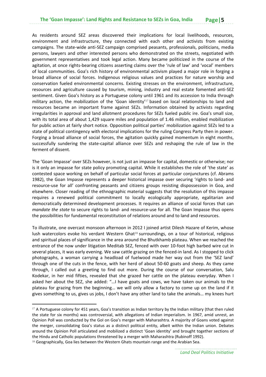As residents around SEZ areas discovered their implications for local livelihoods, resources, environment and infrastructure, they connected with each other and activists from existing campaigns. The state‐wide anti‐SEZ campaign comprised peasants, professionals, politicians, media persons, lawyers and other interested persons who demonstrated on the streets, negotiated with government representatives and took legal action. Many became politicized in the course of the agitation, at once rights‐bearing citizens asserting claims over the 'rule of law' and 'vocal' members of local communities. Goa's rich history of environmental activism played a major role in forging a broad alliance of social forces. Indigenous religious values and practices for nature worship and conservation fueled environmental concerns. Existing stresses on the environment, infrastructure, resources and agriculture caused by tourism, mining, industry and real estate fomented anti‐SEZ sentiment. Given Goa's history as a Portuguese colony until 1961 and its accession to India through military action, the mobilization of the 'Goan identity'<sup>17</sup> based on local relationships to land and resources became an important frame against SEZs. Information obtained by activists regarding irregularities in approval and land allotment procedures for SEZs fueled public ire. Goa's small size, with its total area of about 1,429 square miles and population of 1.46 million, enabled mobilization for public action at fairly short notice. Opposition political parties' mobilization against SEZs led to a state of political contingency with electoral implications for the ruling Congress Party then in power. Forging a broad alliance of social forces, the agitation quickly gained momentum in eight months, successfully sundering the state‐capital alliance over SEZs and reshaping the rule of law in the ferment of dissent.

The 'Goan Impasse' over SEZs however, is not just an impasse for capital, domestic or otherwise; nor is it only an impasse for state policy promoting capital. While it establishes the role of 'the state' as contested space working on behalf of particular social forces at particular conjunctures (cf. Abrams 1982), the Goan Impasse represents a deeper historical impasse over securing 'rights to land‐ and resource‐use for all' confronting peasants and citizens groups resisting dispossession in Goa, and elsewhere. Closer reading of the ethnographic material suggests that the resolution of this impasse requires a renewed political commitment to locally ecologically appropriate, egalitarian and democratically determined development processes. It requires an alliance of social forces that can *mandate the state* to secure rights to land‐ and resource‐use for all. The Goan Impasse thus opens the possibilities for fundamental reconstitution of relations around and to land and resources.

To illustrate, one overcast monsoon afternoon in 2012 I joined artist Dilesh Hazare of Kerim, whose lush watercolors evoke his verdant Western Ghat<sup>18</sup> surroundings, on a tour of historical, religious and spiritual places of significance in the area around the Bhutkhamb plateau. When we reached the entrance of the now under litigation Meditab SEZ, fenced with over 10‐foot high barbed wire cut in several places, it was early evening. We saw cattle grazing on the fenced-in land. As I stopped to click photographs, a woman carrying a headload of fuelwood made her way out from the 'SEZ land' through one of the cuts in the fence, with her herd of about 50‐60 goats and sheep. As they came through, I called out a greeting to find out more. During the course of our conversation, Salu Kodekar, in her mid fifties, revealed that she grazed her cattle on the plateau everyday. When I asked her about the SEZ, she added: "…I have goats and cows, we have taken our animals to the plateau for grazing from the beginning… we will only allow a factory to come up on the land if it gives something to us, gives us jobs, I don't have any other land to take the animals… my knees hurt

<sup>&</sup>lt;sup>17</sup> A Portuguese colony for 451 years, Goa's transition as Indian territory by the Indian military (that then ruled the state for six months) was controversial, with allegations of Indian imperialism. In 1967, amid unrest, an Opinion Poll was conducted by the GoI on Goa's merger with Maharashtra. A majority of Goans voted against the merger, consolidating Goa's status as a distinct political entity, albeit within the Indian union. Debates around the Opinion Poll articulated and mobilized a distinct 'Goan identity' and brought together sections of the Hindu and Catholic populations threatened by a merger with Maharashtra (Rubinoff 1992).<br><sup>18</sup> Geographically, Goa lies between the Western Ghats mountain range and the Arabian Sea.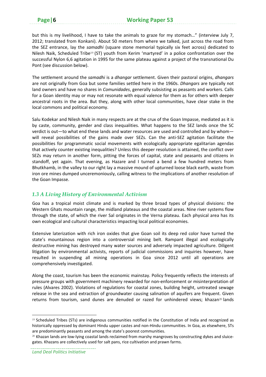but this is my livelihood, I have to take the animals to graze for my stomach…" (interview July 7, 2012; translated from Konkani). About 50 meters from where we talked, just across the road from the SEZ entrance, lay the *samadhi* (square stone memorial typically six feet across) dedicated to Nilesh Naik, Scheduled Tribe<sup>19</sup> (ST) youth from Kerim 'martyred' in a police confrontation over the successful Nylon 6,6 agitation in 1995 for the same plateau against a project of the transnational Du Pont (see discussion below).

The settlement around the *samadhi* is a *dhangar* settlement. Given their pastoral origins, *dhangars* are not originally from Goa but some families settled here in the 1960s. *Dhangars* are typically not land owners and have no shares in *Comunidades*, generally subsisting as peasants and workers. Calls for a Goan identity may or may not resonate with equal valence for them as for others with deeper ancestral roots in the area. But they, along with other local communities, have clear stake in the local commons and political economy.

Salu Kodekar and Nilesh Naik in many respects are at the crux of the Goan Impasse, mediated as it is by caste, community, gender and class inequalities. What happens to the SEZ lands once the SC verdict is out—to what end these lands and water resources are used and controlled and by whom will reveal possibilities of the gains made over SEZs. Can the anti-SEZ agitation facilitate the possibilities for programmatic social movements with ecologically appropriate egalitarian agendas that actively counter existing inequalities? Unless this deeper resolution is attained, the conflict over SEZs may return in another form, pitting the forces of capital, state and peasants and citizens in standoff, yet again. That evening, as Hazare and I turned a bend a few hundred meters from Bhutkhamb, in the valley to our right lay a massive mound of upturned loose black earth, waste from iron ore mines dumped unceremoniously, calling witness to the implications of another resolution of the Goan Impasse.

#### *1.3 A Living History of Environmental Activism*

Goa has a tropical moist climate and is marked by three broad types of physical divisions: the Western Ghats mountain range, the midland plateaus and the coastal areas. Nine river systems flow through the state, of which the river Sal originates in the Verna plateau. Each physical area has its own ecological and cultural characteristics impacting local political economies.

Extensive laterization with rich iron oxides that give Goan soil its deep red color have turned the state's mountainous region into a controversial mining belt. Rampant illegal and ecologically destructive mining has destroyed many water sources and adversely impacted agriculture. Diligent litigation by environmental activists, reports of judicial commissions and inquiries however, have resulted in suspending all mining operations in Goa since 2012 until all operations are comprehensively investigated.

Along the coast, tourism has been the economic mainstay. Policy frequently reflects the interests of pressure groups with government machinery rewarded for non‐enforcement or misinterpretation of rules (Alvares 2002). Violations of regulations for coastal zones, building height, untreated sewage release in the sea and extraction of groundwater causing salination of aquifers are frequent. Given returns from tourism, sand dunes are denuded or razed for unhindered views; khazan<sup>20</sup> lands

<sup>19</sup> Scheduled Tribes (STs) are indigenous communities notified in the Constitution of India and recognized as historically oppressed by dominant Hindu upper castes and non‐Hindu communities. In Goa, as elsewhere, STs are predominantly peasants and among the state's poorest communities.

<sup>&</sup>lt;sup>20</sup> Khazan lands are low-lying coastal lands reclaimed from marshy mangroves by constructing dykes and sluicegates. Khazans are collectively used for salt pans, rice cultivation and prawn farms.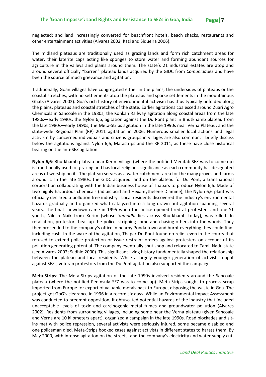neglected; and land increasingly converted for beachfront hotels, beach shacks, restaurants and other entertainment activities (Alvares 2002; Kazi and Siqueira 2006).

The midland plateaus are traditionally used as grazing lands and form rich catchment areas for water, their laterite caps acting like sponges to store water and forming abundant sources for agriculture in the valleys and plains around them. The state's 21 industrial estates are atop and around several officially "barren" plateau lands acquired by the GIDC from *Comunidades* and have been the source of much grievance and agitation.

Traditionally, Goan villages have congregated either in the plains, the undersides of plateaus or the coastal stretches, with no settlements atop the plateaus and sparse settlements in the mountainous Ghats (Alvares 2002). Goa's rich history of environmental activism has thus typically unfolded along the plains, plateaus and coastal stretches of the state. Earlier agitations coalesced around Zuari Agro Chemicals in Sancoale in the 1980s; the Konkan Railway agitation along coastal areas from the late 1980s—early 1990s; the Nylon 6,6, agitation against the Du Pont plant in Bhutkhamb plateau from the late 1980s—early 1990s; the Meta‐Strips agitation in the late 1990s near Verna Plateau; and the state‐wide Regional Plan (RP) 2011 agitation in 2006. Numerous smaller local actions and legal activism by concerned individuals and citizens groups in villages are also common. I briefly discuss below the agitations against Nylon 6,6, Matastrips and the RP 2011, as these have close historical bearing on the anti‐SEZ agitation.

**Nylon 6,6**: Bhutkhamb plateau near Kerim village (where the notified Meditab SEZ was to come up) is traditionally used for grazing and has local religious significance as each community has designated areas of worship on it. The plateau serves as a water catchment area for the many groves and farms around it. In the late 1980s, the GIDC acquired land on the plateau for Du Pont, a transnational corporation collaborating with the Indian business house of Thapars to produce Nylon 6,6. Made of two highly hazardous chemicals (adipic acid and Hexamythelene Diamine), the Nylon 6,6 plant was officially declared a pollution free industry. Local residents discovered the industry's environmental hazards gradually and organized what catalyzed into a long drawn out agitation spanning several years. The final showdown came in 1995 when the police opened fired at protesters and one ST youth, Nilesh Naik from Kerim (whose *Samadhi* lies across Bhutkhamb today), was killed. In retaliation, protestors beat up the police, stripping some and chasing others into the woods. They then proceeded to the company's office in nearby Ponda town and burnt everything they could find, including cash. In the wake of the agitation, Thapar‐Du Pont found no relief even in the courts that refused to extend police protection or issue restraint orders against protesters on account of its pollution generating potential. The company eventually shut shop and relocated to Tamil Nadu state (see Alvares 2002; Sadhle 2000). This significant living history fundamentally shaped the relationship between the plateau and local residents. While a largely younger generation of activists fought against SEZs, veteran protestors from the Du Pont agitation also supported the campaign.

**Meta‐Strips**: The Meta‐Strips agitation of the late 1990s involved residents around the Sancoale plateau (where the notified Peninsula SEZ was to come up). Meta‐Strips sought to process scrap imported from Europe for export of valuable metals back to Europe, disposing the waste in Goa. The project got GoG's clearance in 1996 in a record six days. While an Environmental Impact Assessment was conducted to preempt opposition, it obfuscated potential hazards of the industry that included unacceptable levels of toxic and carcinogenic metal fumes and groundwater pollution (Alvares 2002). Residents from surrounding villages, including some near the Verna plateau (given Sancoale and Verna are 10 kilometers apart), organized a campaign in the late 1990s. Road blockades and sit‐ ins met with police repression, several activists were seriously injured, some became disabled and one policeman died. Meta‐Strips booked cases against activists in different states to harass them. By May 2000, with intense agitation on the streets, and the company's electricity and water supply cut,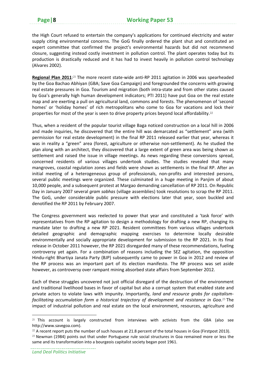the High Court refused to entertain the company's applications for continued electricity and water supply citing environmental concerns. The GoG finally ordered the plant shut and constituted an expert committee that confirmed the project's environmental hazards but did not recommend closure, suggesting instead costly investment in pollution control. The plant operates today but its production is drastically reduced and it has had to invest heavily in pollution control technology (Alvares 2002).

**Regional Plan 2011**:<sup>21</sup> The more recent state‐wide anti‐RP 2011 agitation in 2006 was spearheaded by the Goa Bachao Abhiyan (GBA; Save Goa Campaign) and foregrounded the concerns with growing real estate pressures in Goa. Tourism and migration (both intra‐state and from other states caused by Goa's generally high human development indicators; PTI 2011) have put Goa on the real estate map and are exerting a pull on agricultural land, commons and forests. The phenomenon of 'second homes' or 'holiday homes' of rich metropolitans who come to Goa for vacations and lock their properties for most of the year is seen to drive property prices beyond local affordability.<sup>22</sup>

Thus, when a resident of the popular tourist village Baga noticed construction on a local hill in 2006 and made inquiries, he discovered that the entire hill was demarcated as "settlement" area (with permission for real estate development) in the final RP 2011 released earlier that year, whereas it was in reality a "green" area (forest, agriculture or otherwise non-settlement). As he studied the plan along with an architect, they discovered that a large extent of green area was being shown as settlement and raised the issue in village meetings. As news regarding these conversions spread, concerned residents of various villages undertook studies. The studies revealed that many mangroves, coastal regulation zones and fields were shown as settlements in the final RP. After an initial meeting of a heterogeneous group of professionals, non-profits and interested persons, several public meetings were organized. These culminated in a huge meeting in Panjim of about 10,000 people, and a subsequent protest at Margao demanding cancellation of RP 2011. On Republic Day in January 2007 several *gram sabhas* (village assemblies) took resolutions to scrap the RP 2011. The GoG, under considerable public pressure with elections later that year, soon buckled and denotified the RP 2011 by February 2007.

The Congress government was reelected to power that year and constituted a 'task force' with representatives from the RP agitation to design a methodology for drafting a new RP, changing its mandate later to drafting a new RP 2021. Resident committees from various villages undertook detailed geographic and demographic mapping exercises to determine locally desirable environmentally and socially appropriate development for submission to the RP 2021. In its final release in October 2011 however, the RP 2021 disregarded many of these recommendations, fueling controversy yet again. For a combination of reasons including the SEZ agitation, the opposition Hindu‐right Bhartiya Janata Party (BJP) subsequently came to power in Goa in 2012 and review of the RP process was an important part of its election manifesto. The RP process was set aside however, as controversy over rampant mining absorbed state affairs from September 2012.

Each of these struggles uncovered not just official disregard of the destruction of the environment and traditional livelihood bases in favor of capital but also a corrupt system that enabled state and private actors to violate laws with impunity. Importantly, *land and resource grabs for capitalism‐ facilitating accumulation form a historical trajectory of development and resistance in Goa*.<sup>23</sup> The impact of industrial pollution and real estate on the local environment, resources, agriculture and

<sup>&</sup>lt;sup>21</sup> This account is largely constructed from interviews with activists from the GBA (also see http://www.savegoa.com).

 $22$  A recent report puts the number of such houses at 21.8 percent of the total houses in Goa (Firstpost 2013).

<sup>&</sup>lt;sup>23</sup> Newman (1984) points out that under Portuguese rule social structures in Goa remained more or less the same and its transformation into a bourgeois capitalist society began post 1961.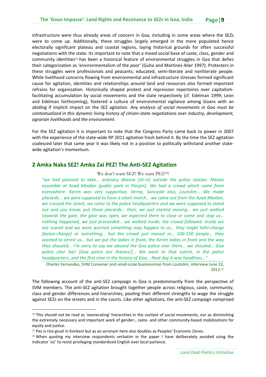infrastructure were thus already areas of concern in Goa, including in some areas where the SEZs were to come up. Additionally, these struggles largely emerged in the more populated hence electorally significant plateau and coastal regions, laying historical grounds for often successful negotiations with the state. Its important to note that a mixed social base of caste, class, gender and community identities<sup>24</sup> has been a historical feature of environmental struggles in Goa that defies their categorization as 'environmentalism of the poor' (Guha and Martinez‐Alier 1997). Protesters in these struggles were professionals and peasants; educated, semi‐literate and nonliterate people. While livelihood concerns flowing from environmental and infrastructure stresses formed significant cause for agitation, identities and relationships around land and resources also formed important refrains for organization. Historically shaped protest and repression repertoires over capitalismfacilitating accumulation by social movements and the state respectively (cf. Edelman 1999; Leon and Edelman forthcoming), fostered a culture of environmental vigilance among Goans with an abiding if implicit impact on the SEZ agitation. *Any analysis of social movements in Goa must be contextualized in this dynamic living history of citizen‐state negotiations over industry, development, agrarian livelihoods and the environment*.

For the SEZ agitation it is important to note that the Congress Party came back to power in 2007 with the experience of the state-wide RP 2011 agitation fresh behind it. By the time the SEZ agitation coalesced later that same year it was likely not in a position to politically withstand another state‐ wide agitation's momentum.

#### **2 Amka Naka SEZ! Amka Zai PEZ! The Anti‐SEZ Agitation**

#### We don't want SEZ! We want PEZ25!

*"we had planned to take… ordinary dharna [sit‐in] outside the police station. Means assemble at Azad Maidan [public park in Panjim]. We had a crowd which came from everywhere. Kerim was very supportive, Verna, Sancoale also, Loutolim… We made placards... we were supposed to have a silent march... we came out from the Azad Maidan, we crossed the street, we came to the police headquarters and we were supposed to stand out and you know, put those placards… then, we just started moving… we just walked towards the gate, the gate was open, we expected them to close or come and stop us… nothing happened, we just proceeded… we walked inside, the crowd followed. Inside we are scared and we were worried something may happen to us… they might lathi‐charge [baton‐charge] or something… but the crowd just moved in… 100‐150 people… they wanted to arrest us… but we put the ladies in front, the Kerim ladies in front and the way they shouted… I'm sorry to say we abused the Goa police over there… we shouted… Goa police chor hai! [Goa police are thieves!]… We went to that extent, in the police headquarters, and the first time in the history of Goa… Next day it was headlines…"* 

Charles Fernandes, SVM Convener and small‐scale businessman from Loutolim, interview June 22, 2012.<sup>26</sup>

The following account of the anti-SEZ campaign in Goa is predominantly from the perspective of SVM members. The anti‐SEZ agitation brought together people across religious, caste, community, class and gender differences and hierarchies, pooling their different strengths to wage the struggle against SEZs on the streets and in the courts. Like other agitations, the anti‐SEZ campaign comprised

 $24$  This should not be read as 'exonerating' hierarchies in the context of social movements, nor as diminishing the extremely necessary and important work of gender-, caste- and other community-based mobilizations for equity and justice.<br><sup>25</sup> Pez is rice gruel in Konkani but as an acronym here also doubles as Peoples' Economic Zones.

 $26$  When quoting my interview respondents verbatim in the paper I have deliberately avoided using the indicator 'sic' to resist privileging standardized English over local parlance.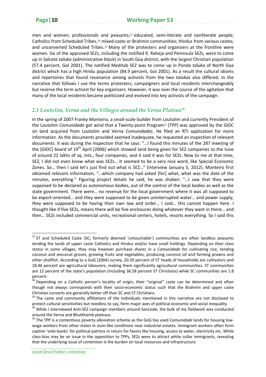men and women; professionals and peasants;<sup>27</sup> educated, semi-literate and nonliterate people; Catholics from Scheduled Tribes,<sup>28</sup> mixed-caste or Brahmin communities; Hindus from various castes; and unconverted Scheduled Tribes.<sup>29</sup> Many of the protesters and organizers at the frontline were women. Six of the approved SEZs, including the notified K. Raheja and Peninsula SEZs, were to come up in Salcete *taluka* (administrative block) in South Goa district, with the largest Christian population (57.4 percent, GoI 2001). The notified Meditab SEZ was to come up in Ponda *taluka* of North Goa district which has a high Hindu population (84.9 percent, GoI 2001). As a result the cultural idioms and repertoires that found resonance among activists from the two *talukas* also differed. In the narrative that follows I use the terms protesters, campaigners and local residents interchangeably but reserve the term activist for key organizers. However, it was over the course of the agitation that many of the local residents became politicized and evolved into key activists of the campaign.

#### 2.1 Loutolim, Verna and the Villages around the Verna Plateau<sup>30</sup>

In the spring of 2007 Franky Monteiro, a small-scale builder from Loutolim and currently President of the Loutolim *Comunidade* got wind that a Twenty‐point Program<sup>31</sup> (TPP) was approved by the GIDC on land acquired from Loutolim and Verna *Comunidades*. He filed an RTI application for more information. As the documents provided seemed inadequate, he requested an inspection of relevant documents. It was during the inspection that he says: "…I found this minutes of the 287 meeting of the [GIDC] board of 19<sup>th</sup> April [2006] which showed land being given for SEZ companies to the tune of around 22 lakhs of sq. mts., four companies, and it said it was for SEZs. Now to me at that time, SEZ, I did not even know what was SEZs… It seemed to be a very nice word, like Special Economic Zones. So… then I said let's just find out what is SEZ…" (interview January 5, 2012). Monteiro first obtained relevant information, "…which company had asked [for] what, what was the date of the minutes, everything." Figuring project details he said, he was shaken: "…I saw that they were supposed to be declared as autonomous bodies, out of the control of the local bodies as well as the state government. There were… no revenue for the local government where it was all supposed to be export-oriented... and they were supposed to be given uninterrupted water... and power supply, they were supposed to be having their own law and order… I said… this cannot happen here. I thought like if five SEZs, means there will be five enclosures doing whatever they want in there… and then… SEZs included commercial units, recreational centers, hotels, resorts everything. So I said this

<sup>&</sup>lt;sup>27</sup> ST and Scheduled Caste (SC; formerly deemed 'untouchable') communities are often landless peasants tending the lands of upper caste Catholics and Hindus and/or have small holdings. Depending on their class status in some villages, they may however purchase shares in a *Comunidade* for cultivating rice, tending coconut and arecanut groves, growing fruits and vegetables, producing coconut oil and farming prawns and other shellfish. According to a GoG (2004) survey, 20.39 percent of ST heads of households are cultivators and 18.46 percent are agricultural labourers, making them significantly agricultural communities. ST communities are 12 percent of the state's population (including 36.58 percent ST Christians) while SC communities are 1.8 percent.

<sup>&</sup>lt;sup>28</sup> Depending on a Catholic person's locality of origin, their "original" caste can be determined and often though not always corresponds with their socio-economic status such that the Brahmin and upper caste

Christian converts are generally better off than SC and ST Christians.<br>
<sup>29</sup> The caste and community affiliations of the individuals mentioned in this narrative are not disclosed to protect cultural sensitivities but needless to say, form major axes of political economic and social inequality.<br><sup>30</sup> While I interviewed Anti-SEZ campaign members around Sancoale, the bulk of my fieldwork was conducted

around the Verna and Bhutkhamb plateaus.<br><sup>31</sup> The TPP is a contentious poverty alleviation scheme as the GoG has used *Comunidade* lands for housing lowwage workers from other states in slum-like conditions near industrial estates. Immigrant workers often form captive 'vote‐banks' for political patrons in return for favors like housing, access to water, electricity etc. While class‐bias may be an issue in the opposition to TPPs, SEZs were to attract white collar immigrants, revealing that the underlying issue of contention is the burden on local resources and infrastructure.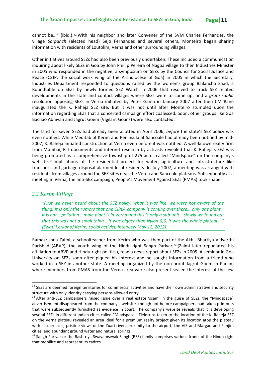cannot be…" (ibid.).<sup>32</sup> With his neighbor and later Convener of the SVM Charles Fernandes, the village *Sarpanch* (elected head) Sejo Fernandes and several others, Monteiro began sharing information with residents of Loutolim, Verna and other surrounding villages.

Other initiatives around SEZs had also been previously undertaken. These included a communication inquiring about likely SEZs in Goa by John Phillip Pereira of Nagoa village to then Industries Minister in 2005 who responded in the negative; a symposium on SEZs by the Council for Social Justice and Peace (CSJP; the social work wing of the Archdiocese of Goa) in 2005 in which the Secretary, Industries Department responded to questions raised by the women's group Bailancho Saad; a Roundtable on SEZs by newly formed SEZ Watch in 2006 that resolved to track SEZ related developments in the state and contact villages where SEZs were to come up; and a *gram sabha* resolution opposing SEZs in Verna initiated by Peter Gama in January 2007 after then CM Rane inaugurated the K. Raheja SEZ site. But it was not until after Monteiro stumbled upon the information regarding SEZs that a concerted campaign effort coalesced. Soon, other groups like Goa Bachao Abhiyan and Jagrut Goem (Vigilant Goans) were also contacted.

The land for seven SEZs had already been allotted in April 2006, *before* the state's SEZ policy was even notified. While Meditab at Kerim and Peninsula at Sancoale had already been notified by mid‐ 2007, K. Raheja initiated construction at Verna even before it was notified. A well‐known realty firm from Mumbai, RTI documents and internet research by activists revealed that K. Raheja's SEZ was being promoted as a comprehensive township of 275 acres called "Mindspace" on the company's website.<sup>33</sup> Implications of the residential project for water, agriculture and infrastructure like transport and garbage disposal alarmed local residents. In July 2007, a meeting was arranged with residents from villages around the SEZ sites near the Verna and Sancoale plateaus. Subsequently at a meeting in Verna, the anti‐SEZ campaign, People's Movement Against SEZs (PMAS) took shape.

#### *2.2 Kerim Village*

*"First we never heard about the SEZ policy, what it was like, we were not aware of the thing. It is only the rumors that one CIPLA company is coming over there… only one plant…* it is not... pollution... main plant is in Verna and this is only a sub-unit... slowly we found out *that this was not a small thing… it was bigger than Nylon 6,6, it was the whole plateau…" (Swati Kerkar of Kerim, social activist, interview May 12, 2012).*

Ramakrishna Zalmi, a schoolteacher from Kerim who was then part of the Akhil Bhartiya Vidyarthi Parishad (ABVP), the youth wing of the Hindu-right Sangh Parivar,<sup>34</sup> (Zalmi later repudiated his affiliation to ABVP and Hindu‐right politics), read a news report about SEZs in 2005. A seminar in Goa University on SEZs soon after piqued his interest and he sought information from a friend who worked in a SEZ in another state. A meeting organized by the non-profit Jagrut Goem in Panjim where members from PMAS from the Verna area were also present sealed the interest of the few

 $32$  SEZs are deemed foreign territories for commercial activities and have their own administrative and security structure with only identity carrying persons allowed entry.<br><sup>33</sup> After anti-SEZ campaigners raised issue over a real estate 'scam' in the guise of SEZs, the "Mindspace"

advertisement disappeared from the company's website, though not before campaigners had taken printouts that were subsequently furnished as evidence in court. The company's website reveals that it is developing several SEZs in different Indian cities called "Mindspace." Fieldtrips taken to the location of the K. Raheja SEZ on the Verna plateau revealed an area ideal for a premium realty project given its location atop the plateau with sea breezes, pristine views of the Zuari river, proximity to the airport, the VIE and Margao and Panjim cities, and abundant ground water and natural springs.<br><sup>34</sup> Sangh Parivar or the Rashtriya Swayamsevak Sangh (RSS) family comprises various fronts of the Hindu-right

that mobilize and represent its cadres.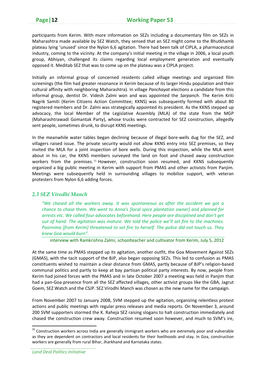participants from Kerim. With more information on SEZs including a documentary film on SEZs in Maharashtra made available by SEZ Watch, they sensed that an SEZ might come to the Bhutkhamb plateau lying 'unused' since the Nylon 6,6 agitation. There had been talk of CIPLA, a pharmaceutical industry, coming to the vicinity. At the company's initial meeting in the village in 2006, a local youth group, Abhiyan, challenged its claims regarding local employment generation and eventually opposed it. Meditab SEZ that was to come up on the plateau was a CIPLA project.

Initially an informal group of concerned residents called village meetings and organized film screenings (the film had greater resonance in Kerim because of its larger Hindu population and their cultural affinity with neighboring Maharashtra). In village *Panchayat* elections a candidate from this informal group, dentist Dr. Videsh Zalmi won and was appointed the *Sarpanch*. The Kerim Kriti Nagrik Samiti (Kerim Citizens Action Committee; KKNS) was subsequently formed with about 80 registered members and Dr. Zalmi was strategically appointed its president. As the KKNS stepped up advocacy, the local Member of the Legislative Assembly (MLA) of the state from the MGP (Maharashtrawadi Gomantak Party), whose trucks were contracted for SEZ construction, allegedly sent people, sometimes drunk, to disrupt KKNS meetings.

In the meanwhile water tables began declining because of illegal bore‐wells dug for the SEZ, and villagers raised issue. The private security would not allow KKNS entry into SEZ premises, so they invited the MLA for a joint inspection of bore wells. During this inspection, while the MLA went about in his car, the KKNS members surveyed the land on foot and chased away construction workers from the premises.<sup>35</sup> However, construction soon resumed, and KKNS subsequently organized a big public meeting in Kerim with support from PMAS and other activists from Panjim. Meetings were subsequently held in surrounding villages to mobilize support, with veteran protesters from Nylon 6,6 adding forces.

#### *2.3 SEZ Virodhi Manch*

*"We chased all the workers away. It was spontaneous as after the accident we got a chance to chase them. We went to Anna's [local spice plantation owner] and planned for arrests etc. We called four advocates beforehand. Here people are disciplined and don't get out of hand. The agitation was mature. We told the police we'll set fire to the machines. Poornima [from Kerim] threatened to set fire to herself. The police did not touch us. They knew Goa would burn".*

interview with Ramkrishna Zalmi, schoolteacher and cultivator from Kerim, July 5, 2012

At the same time as PMAS stepped up its agitation, another outfit, the Goa Movement Against SEZs (GMAS), with the tacit support of the BJP, also began opposing SEZs. This led to confusion as PMAS constituents wished to maintain a clear distance from GMAS, partly because of BJP's religion‐based communal politics and partly to keep at bay partisan political party interests. By now, people from Kerim had joined forces with the PMAS and in late October 2007 a meeting was held in Panjim that had a pan‐Goa presence from all the SEZ affected villages, other activist groups like the GBA, Jagrut Goem, SEZ Watch and the CSJP. SEZ Virodhi Manch was chosen as the new name for the campaign.

From November 2007 to January 2008, SVM stepped up the agitation, organizing relentless protest actions and public meetings with regular press releases and media reports. On November 3, around 200 SVM supporters stormed the K. Raheja SEZ raising slogans to halt construction immediately and chased the construction crew away. Construction resumed soon however, and much to SVM's ire,

<sup>&</sup>lt;sup>35</sup> Construction workers across India are generally immigrant workers who are extremely poor and vulnerable as they are dependent on contractors and local residents for their livelihoods and stay. In Goa, construction workers are generally from rural Bihar, Jharkhand and Karnataka states.

*Land Deal Politics Initiative*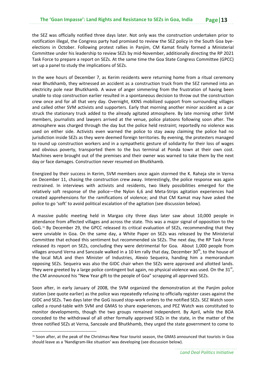the SEZ was officially notified three days later. Not only was the construction undertaken prior to notification illegal, the Congress party had promised to review the SEZ policy in the South Goa bye‐ elections in October. Following protest rallies in Panjim, CM Kamat finally formed a Ministerial Committee under his leadership to review SEZs by mid‐November, additionally directing the RP 2021 Task Force to prepare a report on SEZs. At the same time the Goa State Congress Committee (GPCC) set up a panel to study the implications of SEZs.

In the wee hours of December 7, as Kerim residents were returning home from a ritual ceremony near Bhutkhamb, they witnessed an accident as a construction truck from the SEZ rammed into an electricity pole near Bhutkhamb. A wave of anger simmering from the frustration of having been unable to stop construction earlier resulted in a spontaneous decision to throw out the construction crew once and for all that very day. Overnight, KKNS mobilized support from surrounding villages and called other SVM activists and supporters. Early that morning another minor accident as a car struck the stationary truck added to the already agitated atmosphere. By late morning other SVM members, journalists and lawyers arrived at the venue, police platoons following soon after. The atmosphere was charged through the day but the police held restraint; reportedly no violence was used on either side. Activists even warned the police to stay away claiming the police had no jurisdiction inside SEZs as they were deemed foreign territories. By evening, the protesters managed to round up construction workers and in a sympathetic gesture of solidarity for their loss of wages and obvious poverty, transported them to the bus terminal at Ponda town at their own cost. Machines were brought out of the premises and their owner was warned to take them by the next day or face damages. Construction never resumed on Bhutkhamb.

Energized by their success in Kerim, SVM members once again stormed the K. Raheja site in Verna on December 11, chasing the construction crew away. Interestingly, the police response was again restrained. In interviews with activists and residents, two likely possibilities emerged for the relatively soft response of the police—the Nylon 6,6 and Meta‐Strips agitation experiences had created apprehensions for the ramifications of violence; and that CM Kamat may have asked the police to go 'soft' to avoid political escalation of the agitation (see discussion below).

A massive public meeting held in Margao city three days later saw about 10,000 people in attendance from affected villages and across the state. This was a major signal of opposition to the GoG.<sup>36</sup> By December 29, the GPCC released its critical evaluation of SEZs, recommending that they were unviable in Goa. On the same day, a White Paper on SEZs was released by the Ministerial Committee that echoed this sentiment but recommended six SEZs. The next day, the RP Task Force released its report on SEZs, concluding they were detrimental for Goa. About 1,000 people from villages around Verna and Sancoale walked in a 10 km rally that day, December  $30<sup>th</sup>$ , to the house of the local MLA and then Minister of Industries, Alexio Sequeira, handing him a memorandum opposing SEZs. Sequeira was also the GIDC chair when the SEZs were approved and allotted lands. They were greeted by a large police contingent but again, no physical violence was used. On the  $31<sup>st</sup>$ , the CM announced his "New Year gift to the people of Goa" scrapping all approved SEZs.

Soon after, in early January of 2008, the SVM organized the demonstration at the Panjim police station (see quote earlier) as the police was repeatedly refusing to officially register cases against the GIDC and SEZs. Two days later the GoG issued stop‐work orders to the notified SEZs. SEZ Watch soon called a round‐table with SVM and GMAS to share experiences, and PEZ Watch was constituted to monitor developments, though the two groups remained independent. By April, while the BOA conceded to the withdrawal of all other formally approved SEZs in the state, in the matter of the three notified SEZs at Verna, Sancoale and Bhutkhamb, they urged the state government to come to

<sup>36</sup> Soon after, at the peak of the Christmas‐New Year tourist season, the GMAS announced that tourists in Goa should leave as a 'Nandigram‐like situation' was developing (see discussion below).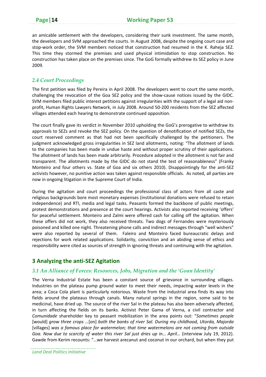an amicable settlement with the developers, considering their sunk investment. The same month, the developers and SVM approached the courts. In August 2008, despite the ongoing court case and stop-work order, the SVM members noticed that construction had resumed in the K. Raheja SEZ. This time they stormed the premises and used physical intimidation to stop construction. No construction has taken place on the premises since. The GoG formally withdrew its SEZ policy in June 2009.

#### *2.4 Court Proceedings*

The first petition was filed by Pereira in April 2008. The developers went to court the same month, challenging the revocation of the Goa SEZ policy and the show‐cause notices issued by the GIDC. SVM members filed public interest petitions against irregularities with the support of a legal aid non‐ profit, Human Rights Lawyers Network, in July 2008. Around 50‐200 residents from the SEZ affected villages attended each hearing to demonstrate continued opposition.

The court finally gave its verdict in November 2010 upholding the GoG's prerogative to withdraw its approvals to SEZs and revoke the SEZ policy. On the question of denotification of notified SEZs, the court reserved comment as that had not been specifically challenged by the petitioners. The judgment acknowledged gross irregularities in SEZ land allotments, noting: "The allotment of lands to the companies has been made in undue haste and without proper scrutiny of their applications. The allotment of lands has been made arbitrarily. Procedure adopted in the allotment is not fair and transparent. The allotments made by the GIDC do not stand the test of reasonableness" (Franky Monteiro and four others vs. State of Goa and six others 2010). Disappointingly for the anti-SEZ activists however, no punitive action was taken against responsible officials. As noted, all parties are now in ongoing litigation in the Supreme Court of India.

During the agitation and court proceedings the professional class of actors from all caste and religious backgrounds bore most monetary expenses (institutional donations were refused to retain independence) and RTI, media and legal tasks. Peasants formed the backbone of public meetings, protest demonstrations and presence at the court hearings. Activists also reported receiving 'offers' for peaceful settlement. Monteiro and Zalmi were offered cash for calling off the agitation. When these offers did not work, they also received threats. Two dogs of Fernandes were mysteriously poisoned and killed one night. Threatening phone calls and indirect messages through "well wishers" were also reported by several of them. Faleiro and Monteiro faced bureaucratic delays and rejections for work related applications. Solidarity, conviction and an abiding sense of ethics and responsibility were cited as sources of strength in ignoring threats and continuing with the agitation.

#### **3 Analyzing the anti‐SEZ Agitation**

#### *3.1 An Alliance of Forces: Resources, Jobs, Migration and the 'Goan Identity'*

The Verna Industrial Estate has been a constant source of grievance in surrounding villages. Industries on the plateau pump ground water to meet their needs, impacting water levels in the area; a Coca Cola plant is particularly notorious. Waste from the industrial area finds its way into fields around the plateaus through canals. Many natural springs in the region, some said to be medicinal, have dried up. The source of the river Sal in the plateau has also been adversely affected, in turn affecting the fields on its banks. Activist Peter Gama of Verna, a civil contractor and *Comunidade* shareholder key to peasant mobilization in the area points out: "*Sometimes people* [would] *grow three crops …*[on] *both the banks of river Sal. During my childhood, Utorda, Majorda* [villages] *was a famous place for watermelon; that time watermelons are not coming from outside Goa. Now due to scarcity of water this river Sal just dries up in… April…* (interview July 19, 2012). Gawde from Kerim recounts: "…we harvest arecanut and coconut in our orchard, but when they put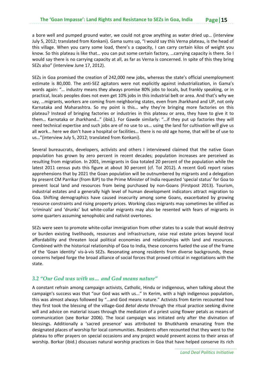a bore well and pumped ground water, we could not grow anything as water dried up… (interview July 5, 2012; translated from Konkani). Gama sums up, "I would say this Verna plateau, is the head of this village. When you carry some load, there's a capacity, I can carry certain kilos of weight you know. So this plateau is like that… you can put some certain factory, …carrying capacity is there. So I would say there is no carrying capacity at all, as far as Verna is concerned. In spite of this they bring SEZs also" (interview June 17, 2012).

SEZs in Goa promised the creation of 242,000 new jobs, whereas the state's official unemployment estimate is 80,000. The anti‐SEZ agitators were not explicitly against industrialization, in Gama's words again: "… industry means they always promise 80% jobs to locals, but frankly speaking, or in practical, locals peoples does not even get 10% jobs in this industrial belt or area. And that's why we say, …migrants, workers are coming from neighboring states, even from Jharkhand and UP, not only Karnataka and Maharashtra. So my point is this… why they're bringing more factories on this plateau? Instead of bringing factories or industries in this plateau or area, they have to give it to them… Karnataka or Jharkhand…" (ibid.). For Gawde similarly: "…if they put up factories they will need technical expertise and such jobs are of no use to us… using the land for cultivation will give us all work… here we don't have a hospital or facilities… there is no old age home, that will be of use to us…"(interview July 5, 2012; translated from Konkani).

Several bureaucrats, developers, activists and others I interviewed claimed that the native Goan population has grown by zero percent in recent decades; population increases are perceived as resulting from migration. In 2001, immigrants in Goa totaled 20 percent of the population while the latest 2011 census puts this figure at about 30 percent (cf. ToI 2012). A recent GoG report raises apprehensions that by 2021 the Goan population will be outnumbered by migrants and a delegation by present CM Parrikar (from BJP) to the Prime Minister of India requested 'special status' for Goa to prevent local land and resources from being purchased by non‐Goans (Firstpost 2013). Tourism, industrial estates and a generally high level of human development indicators attract migration to Goa. Shifting demographics have caused insecurity among some Goans, exacerbated by growing resource constraints and rising property prices. Working class migrants may sometimes be vilified as 'criminals' and 'drunks' but white‐collar migrants may also be resented with fears of migrants in some quarters assuming xenophobic and nativist overtones.

SEZs were seen to promote white‐collar immigration from other states to a scale that would destroy or burden existing livelihoods, resources and infrastructure, raise real estate prices beyond local affordability and threaten local political economies and relationships with land and resources. Combined with the historical relationship of Goa to India, these concerns fueled the use of the frame of the 'Goan identity' vis‐à‐vis SEZs. Resonating among residents from diverse backgrounds, these concerns helped forge the broad alliance of social forces that proved critical in negotiations with the state.

#### *3.2 "Our God was with us… and God means nature"*

A constant refrain among campaign activists, Catholic, Hindu or indigenous, when talking about the campaign's success was that "our God was with us..." In Kerim, with a high indigenous population, this was almost always followed by "…and God means nature." Activists from Kerim recounted how they first took the blessing of the village‐God *Betal devta* through the ritual practice seeking divine will and advice on material issues through the mediation of a priest using flower petals as means of communication (see Borkar 2006). The local campaign was initiated only after the divination of blessings. Additionally a 'sacred presence' was attributed to Bhutkhamb emanating from the designated places of worship for local communities. Residents often recounted that they went to the plateau to offer prayers on special occasions and any project would prevent access to their areas of worship. Borkar (ibid.) discusses natural worship practices in Goa that have helped conserve its rich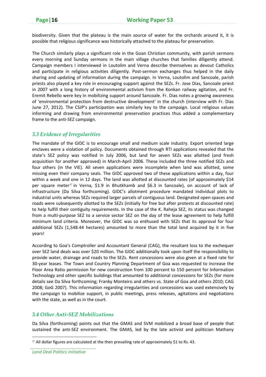biodiversity. Given that the plateau is the main source of water for the orchards around it, it is possible that religious significance was historically attached to the plateau for preservation.

The Church similarly plays a significant role in the Goan Christian community, with parish sermons every morning and Sunday sermons in the main village churches that families diligently attend. Campaign members I interviewed in Loutolim and Verna describe themselves as devout Catholics and participate in religious activities diligently. Post‐sermon exchanges thus helped in the daily sharing and updating of information during the campaign. In Verna, Loutolim and Sancoale, parish priests also played a key role in encouraging support against the SEZs. Fr. Jose Dias, Sancoale priest in 2007 with a long history of environmental activism from the Konkan railway agitation, and Fr. Eremit Rebello were key in mobilizing support around Sancoale. Fr. Dias notes a growing awareness of 'environmental protection from destructive development' in the church (interview with Fr. Dias June 27, 2012). The CSJP's participation was similarly key to the campaign. Local religious values informing and drawing from environmental preservation practices thus added a complementary frame to the anti‐SEZ campaign.

#### *3.3 Evidence of Irregularities*

The mandate of the GIDC is to encourage small and medium scale industry. Export oriented large enclaves were a violation of policy. Documents obtained through RTI applications revealed that the state's SEZ policy was notified in July 2006, but land for seven SEZs was allotted (and fresh acquisition for another approved) in March‐April 2006. These included the three notified SEZs and four others (in the VIE). All seven applications were incomplete when land was allotted, some missing even their company seals. The GIDC approved two of these applications within a day, four within a week and one in 12 days. The land was allotted at discounted rates (of approximately \$14 per square meter<sup>37</sup> in Verna, \$1.9 in Bhutkhamb and \$6.3 in Sancoale), on account of lack of infrastructure (Da Silva forthcoming). GIDC's allotment procedure mandated individual plots to industrial units whereas SEZs required larger parcels of contiguous land. Designated open spaces and roads were subsequently allotted to the SEZs (initially for free but after protests at discounted rate) to help fulfill their contiguity requirements. In the case of the K. Raheja SEZ, its status was changed from a multi-purpose SEZ to a service sector SEZ on the day of the lease agreement to help fulfill minimum land criteria. Moreover, the GIDC was so enthused with SEZs that its approval for four additional SEZs (1,548.44 hectares) amounted to more than the total land acquired by it in five years!

According to Goa's Comptroller and Accountant General (CAG), the resultant loss to the exchequer over SEZ land deals was over \$20 million. The GIDC additionally took upon itself the responsibility to provide water, drainage and roads to the SEZs. Rent concessions were also given at a fixed rate for 30‐year leases. The Town and Country Planning Department of Goa was requested to increase the Floor Area Ratio permission for new construction from 100 percent to 150 percent for Information Technology and other specific buildings that amounted to additional concessions for SEZs (for more details see Da Silva forthcoming; Franky Monteiro and others vs. State of Goa and others 2010; CAG 2008; GoG 2007). This information regarding irregularities and concessions was used extensively by the campaign to mobilize support, in public meetings, press releases, agitations and negotiations with the state, as well as in the court.

#### *3.4 Other Anti-SEZ Mobilizations*

Da Silva (forthcoming) points out that the GMAS and SVM mobilized a broad base of people that sustained the anti‐SEZ environment. The GMAS, led by the late activist and politician Mathany

 $37$  All dollar figures are calculated at the then prevailing rate of approximately \$1 to Rs. 43.

*Land Deal Politics Initiative*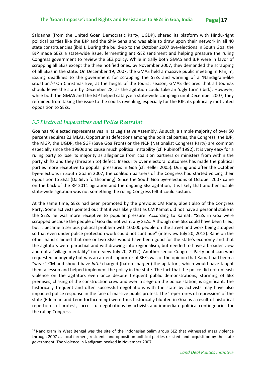Saldanha (from the United Goan Democratic Party, UGDP), shared its platform with Hindu‐right political parties like the BJP and the Shiv Sena and was able to draw upon their network in all 40 state constituencies (ibid.). During the build‐up to the October 2007 bye‐elections in South Goa, the BJP made SEZs a state-wide issue, fermenting anti-SEZ sentiment and helping pressure the ruling Congress government to review the SEZ policy. While initially both GMAS and BJP were in favor of scrapping all SEZs except the three notified ones, by November 2007, they demanded the scrapping of all SEZs in the state. On December 19, 2007, the GMAS held a massive public meeting in Panjim, issuing deadlines to the government for scrapping the SEZs and warning of a 'Nandigram‐like situation.'<sup>38</sup> On Christmas Eve, at the height of the tourist season, GMAS declared that all tourists should leave the state by December 28, as the agitation could take an 'ugly turn' (ibid.). However, while both the GMAS and the BJP helped catalyze a state-wide campaign until December 2007, they refrained from taking the issue to the courts revealing, especially for the BJP, its politically motivated opposition to SEZs.

#### *3.5 Electoral Imperatives and Police Restraint*

Goa has 40 elected representatives in its Legislative Assembly. As such, a simple majority of over 50 percent requires 22 MLAs. Opportunist defections among the political parties, the Congress, the BJP, the MGP, the UGDP, the SGF (Save Goa Front) or the NCP (Nationalist Congress Party) are common especially since the 1990s and cause much political instability (cf. Rubinoff 1992). It is very easy for a ruling party to lose its majority as allegiance from coalition partners or ministers from within the party shifts and they (threaten to) defect. Insecurity over electoral outcomes has made the political parties more receptive to popular pressures in Goa (cf. Heller 2005). During and after the October bye‐elections in South Goa in 2007, the coalition partners of the Congress had started voicing their opposition to SEZs (Da Silva forthcoming). Since the South Goa bye‐elections of October 2007 came on the back of the RP 2011 agitation and the ongoing SEZ agitation, it is likely that another hostile state-wide agitation was not something the ruling Congress felt it could sustain.

At the same time, SEZs had been promoted by the previous CM Rane, albeit also of the Congress Party. Some activists pointed out that it was likely that as CM Kamat did not have a personal stake in the SEZs he was more receptive to popular pressure. According to Kamat: "SEZs in Goa were scrapped because the people of Goa did not want any SEZs. Although one SEZ could have been tried, but it became a serious political problem with 10,000 people on the street and work being stopped so that even under police protection work could not continue" (interview July 20, 2012). Rane on the other hand claimed that one or two SEZs would have been good for the state's economy and that the agitators were parochial and withdrawing into regionalism, but needed to have a broader view and not a "village mentality" (interview July 20, 2012). Another senior Congress Party politician who requested anonymity but was an ardent supporter of SEZs was of the opinion that Kamat had been a "weak" CM and should have *lathi*‐charged (baton‐charged) the agitators, which would have taught them a lesson and helped implement the policy in the state. The fact that the police did not unleash violence on the agitators even once despite frequent public demonstrations, storming of SEZ premises, chasing of the construction crew and even a siege on the police station, is significant. The historically frequent and often successful negotiations with the state by activists may have also impacted police response in the face of massive public protest. The 'repertoires of repression' of the state (Edelman and Leon forthcoming) were thus historically blunted in Goa as a result of historical repertoires of protest, successful negotiations by activists and immediate political contingencies for the ruling Congress.

<sup>38</sup> Nandigram in West Bengal was the site of the Indonesian Salim group SEZ that witnessed mass violence through 2007 as local farmers, residents and opposition political parties resisted land acquisition by the state government. The violence in Nadigram peaked in November 2007.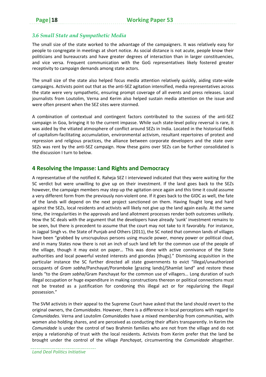#### *3.6 Small State and Sympathetic Media*

The small size of the state worked to the advantage of the campaigners. It was relatively easy for people to congregate in meetings at short notice. As social distance is not acute, people know their politicians and bureaucrats and have greater degrees of interaction than in larger constituencies, and vice versa. Frequent communication with the GoG representatives likely fostered greater receptivity to campaign demands among state actors.

The small size of the state also helped focus media attention relatively quickly, aiding state‐wide campaigns. Activists point out that as the anti‐SEZ agitation intensified, media representatives across the state were very sympathetic, ensuring prompt coverage of all events and press releases. Local journalists from Loutolim, Verna and Kerim also helped sustain media attention on the issue and were often present when the SEZ sites were stormed.

A combination of contextual and contingent factors contributed to the success of the anti‐SEZ campaign in Goa, bringing it to the current impasse. While such state‐level policy reversal is rare, it was aided by the vitiated atmosphere of conflict around SEZs in India. Located in the historical fields of capitalism‐facilitating accumulation, environmental activism, resultant repertoires of protest and repression and religious practices, the alliance between corporate developers and the state over SEZs was rent by the anti‐SEZ campaign. How these gains over SEZs can be further consolidated is the discussion I turn to below.

#### **4 Resolving the Impasse: Land Rights and Democracy**

A representative of the notified K. Raheja SEZ I interviewed indicated that they were waiting for the SC verdict but were unwilling to give up on their investment. If the land goes back to the SEZs however, the campaign members may step up the agitation once again and this time it could assume a very different form from the previously non‐violent one. If it goes back to the GIDC as well, the fate of the lands will depend on the next project sanctioned on them. Having fought long and hard against the SEZs, local residents and activists will likely not give up the land again easily. At the same time, the irregularities in the approvals and land allotment processes render both outcomes unlikely. How the SC deals with the argument that the developers have already 'sunk' investment remains to be seen, but there is precedent to assume that the court may not take to it favorably. For instance, in Jagpal Singh vs. the State of Punjab and Others (2011), the SC noted that common lands of villages have been "grabbed by unscrupulous persons using muscle power, money power or political clout, and in many States now there is not an inch of such land left for the common use of the people of the village, though it may exist on paper… This was done with active connivance of the State authorities and local powerful vested interests and goondas [thugs]." Dismissing acquisition in the particular instance the SC further directed all state governments to evict "illegal/unauthorized occupants of *Gram sabha*/Panchayat/Poramboke [grazing lands]/Shamlat land" and restore these lands "to the *Gram sabha*/Gram Panchayat for the common use of villagers… Long duration of such illegal occupation or huge expenditure in making constructions thereon or political connections must not be treated as a justification for condoning this illegal act or for regularizing the illegal possession."

The SVM activists in their appeal to the Supreme Court have asked that the land should revert to the original owners, the *Comunidades*. However, there is a difference in local perceptions with regard to *Comunidades*. Verna and Loutolim *Comunidades* have a mixed membership from communities, with women also holding shares, and are perceived as conducting their affairs transparently. In Kerim the *Comunidade* is under the control of two Brahmin families who are not from the village and do not enjoy a relationship of trust with the local residents. Activists from Kerim prefer that the land be brought under the control of the village *Panchayat*, circumventing the *Comunidade* altogether.

*Land Deal Politics Initiative*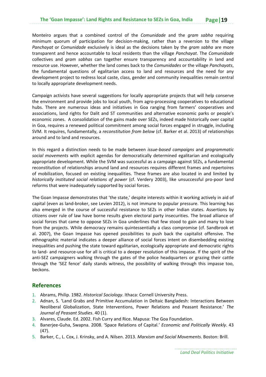Monteiro argues that a combined control of the *Comunidade* and the *gram sabha* requiring minimum quorum of participation for decision-making, rather than a reversion to the village *Panchayat* or *Comunidade* exclusively is ideal as the decisions taken by the *gram sabha* are more transparent and hence accountable to local residents than the village *Panchayat*. The *Comunidade* collectives and *gram sabhas* can together ensure transparency and accountability in land and resource use. However, whether the land comes back to the *Comunidades* or the village *Panchayats*, the fundamental questions of egalitarian access to land and resources and the need for any development project to redress local caste, class, gender and community inequalities remain central to locally appropriate development needs.

Campaign activists have several suggestions for locally appropriate projects that will help conserve the environment and provide jobs to local youth, from agro‐processing cooperatives to educational hubs. There are numerous ideas and initiatives in Goa ranging from farmers' cooperatives and associations, land rights for Dalit and ST communities and alternative economic parks or people's economic zones. A consolidation of the gains made over SEZs, indeed made historically over capital in Goa, requires a renewed political commitment among social forces engaged in struggle, including SVM. It requires, fundamentally, a *reconstitution from below* (cf. Barker et al. 2013) of relationships around and to land and resources.

In this regard a distinction needs to be made between *issue‐based campaigns* and *programmatic social movements* with explicit agendas for democratically determined egalitarian and ecologically appropriate development. While the SVM was successful as a campaign against SEZs, a fundamental reconstitution of relationships around land and resources requires different frames and repertoires of mobilization, focused on existing inequalities. These frames are also located in and limited by *historically instituted social relations of power* (cf. Verdery 2003), like unsuccessful pro‐poor land reforms that were inadequately supported by social forces.

The Goan Impasse demonstrates that 'the state,' despite interests within it working actively in aid of capital (even as land‐broker, see Levien 2012), is not immune to popular pressure. This learning has also emerged in the course of successful resistance to SEZs in other Indian states. Assertions by citizens over rule of law have borne results given electoral party insecurities. The broad alliance of social forces that came to oppose SEZs in Goa underlines that few stood to gain and many to lose from the projects. While democracy remains quintessentially a class compromise (cf. Sandbrook et al. 2007), the Goan Impasse has opened possibilities to push back the capitalist offensive. The ethnographic material indicates a deeper alliance of social forces intent on disembedding existing inequalities and pushing the state toward egalitarian, ecologically appropriate and democratic rights to land‐ and resource‐use for all is critical to a deeper resolution of this impasse. If the spirit of the anti‐SEZ campaigners walking through the gates of the police headquarters or grazing their cattle through the 'SEZ fence' daily stands witness, the possibility of walking through this impasse too, beckons.

#### **References**

- 1. Abrams, Philip. 1982. *Historical Sociology*. Ithaca: Cornell University Press.
- 2. Adnan, S. 'Land Grabs and Primitive Accumulation in Deltaic Bangladesh: Interactions Between Neoliberal Globalization, State Interventions, Power Relations and Peasant Resistance.' *The Journal of Peasant Studies*. 40 (1).
- 3. Alvares, Claude. Ed. 2002. Fish Curry and Rice. Mapusa: The Goa Foundation.
- 4. Banerjee‐Guha, Swapna. 2008. 'Space Relations of Capital.' *Economic and Politically Weekly*. 43 (47).
- 5. Barker, C., L. Cox, J. Krinsky, and A. Nilsen. 2013. *Marxism and Social Movements*. Boston: Brill.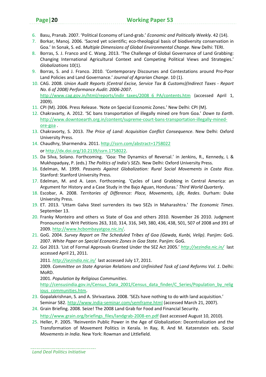- 6. Basu, Pranab. 2007. 'Political Economy of Land‐grab.' *Economic and Politically Weekly*. 42 (14).
- 7. Borkar, Manoj. 2006. 'Sacred yet scientific; eco-theological basis of biodiversity conservation in Goa.' In Sonak, S. ed. *Multiple Dimensions of Global Environmental Change*. New Delhi: TERI.
- 8. Borras, S. J. Franco and C. Wang. 2013. 'The Challenge of Global Governance of Land Grabbing: Changing International Agricultural Context and Competing Political Views and Strategies.' *Globalizations* 10(1).
- 9. Borras, S. and J. Franco. 2010. 'Contemporary Discourses and Contestations around Pro‐Poor Land Policies and Land Governance.' *Journal of Agrarian Change*. 10 (1).
- 10. CAG. 2008. *Union Audit Reports (Central Excise, Service Tax & Customs)(Indirect Taxes ‐ Report No. 6 of 2008) Performance Audit: 2006‐2007*. http://www.cag.gov.in/html/reports/indir\_taxes/2008\_6\_PA/contents.htm (accessed April 1, 2009).
- 11. CPI (M). 2006. Press Release. 'Note on Special Economic Zones.' New Delhi: CPI (M).
- 12. Chakravarty, A. 2012. 'SC bans transportation of illegally mined ore from Goa.' *Down to Earth*. http://www.downtoearth.org.in/content/supreme-court-bans-transportation-illegally-minedore‐goa .
- 13. Chakravorty, S. 2013. *The Price of Land: Acquisition Conflict Consequence*. New Delhi: Oxford University Press.
- 14. Chaudhry, Sharmendra. 2011. http://ssrn.com/abstract=1758022 or http://dx.doi.org/10.2139/ssrn.1758022.
- 15. Da Silva, Solano. Forthcoming. 'Goa: The Dynamics of Reversal.' in Jenkins, R., Kennedy, L & Mukhopadyay, P. (eds.) *The Politics of India's SEZs*. New Delhi: Oxford University Press.
- 16. Edelman, M. 1999. *Peasants Against Globalization: Rural Social Movements in Costa Rica*. Stanford: Stanford University Press.
- 17. Edelman, M. and A. Leon. Forthcoming. 'Cycles of Land Grabbing in Central America: an Argument for History and a Case Study in the Bajo Aguan, Honduras.' *Third World Quarterly*.
- 18. Escobar, A. 2008. *Territories of Difference: Place, Movements, Life, Redes*. Durham: Duke University Press.
- 19. ET. 2013. 'Uttam Galva Steel surrenders its two SEZs in Maharashtra.' *The Economic Times*. September 13.
- 20. Franky Monteiro and others vs State of Goa and others 2010. November 26 2010. Judgment Pronounced in Writ Petitions 263, 310, 314, 316, 349, 380, 436, 438, 501, 507 of 2008 and 391 of 2009. http://www.hcbombayatgoa.nic.in/.
- 21. GoG. 2004. *Survey Report on The Scheduled Tribes of Goa (Gawda, Kunbi, Velip)*. Panjim: GoG. 2007. *White Paper on Special Economic Zones in Goa State*. Panjim: GoG.
- 22. GoI 2013. 'List of Formal Approvals Granted Under the SEZ Act 2005.' *http://sezindia.nic.in/* last accessed April 21, 2011.

2011. *http://sezindia.nic.in/* last accessed July 17, 2011.

2009. *Committee on State Agrarian Relations and Unfinished Task of Land Reforms Vol. 1*. Delhi: MoRD.

2001. *Population by Religious Communities*.

http://censusindia.gov.in/Census\_Data\_2001/Census\_data\_finder/C\_Series/Population\_by\_relig ious\_communities.htm.

- 23. Gopalakrishnan, S. and A. Shrivastava. 2008. 'SEZs have nothing to do with land acquisition.' Seminar 582. http://www.india‐seminar.com/semframe.html (accessed March 21, 2007).
- 24. Grain Briefing. 2008. Seize! The 2008 Land Grab for Food and Financial Security.

http://www.grain.org/briefings\_files/landgrab-2008-en.pdf (last accessed August 10, 2010).

25. Heller, P. 2005. 'Reinventin Public Power in the Age of Globalization: Decentralization and the Transformation of Movement Politics in Kerala. In Ray, R. And M. Katzenstein eds. *Social Movements in India*. New York: Rowman and Littlefield.

*Land Deal Politics Initiative*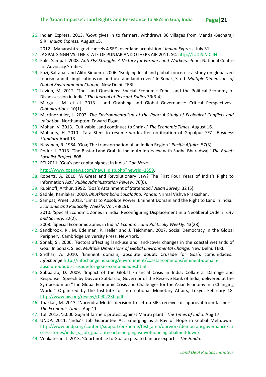26. Indian Express. 2013. 'Govt gives in to farmers, withdraws 36 villages from Mandal‐Becharaji SIR.' *Indian Express.* August 15.

2012. 'Maharashtra govt cancels 4 SEZs over land acquisition.' *Indian Express*. July 31.

- 27. JAGPAL SINGH VS. THE STATE OF PUNJAB AND OTHERS AIR 2011. SC. http://JUDIS.NIC.IN
- 28. Kale, Sampat. 2008. *Anti SEZ Struggle: A Victory for Farmers and Workers*. Pune: National Centre for Advocacy Studies.
- 29. Kazi, Saltanat and Alito Siqueira. 2006. 'Bridging local and global concerns: a study on globalized tourism and its implications on land‐use and land‐cover.' In Sonak, S. ed. *Multiple Dimensions of Global Environmental Change*. New Delhi: TERI.
- 30. Levien, M. 2012. 'The Land Questions: Special Economic Zones and the Political Economy of Dispossession in India.' *The Journal of Peasant Sudies* 39(3‐4).
- 31. Margulis, M. et al. 2013. 'Land Grabbing and Global Governance: Critical Perspectives.' *Globalizations*. 10(1).
- 32. Martinez‐Alier, J. 2002. *The Environmentalism of the Poor: A Study of Ecological Conflicts and Valuation*. Northampton: Edward Elgar.
- 33. Mohan, V. 2013. 'Cultivable Land continues to Shrink.' *The Economic Times*. August 16.
- 34. Mohanty, H. 2010. 'Tata Steel to resume work after notification of Gopalpur SEZ.' *Business Standard.*April 13.
- 35. Newman, R. 1984. 'Goa; The transformation of an Indian Region.' *Pacific Affairs*. 57(3).
- 36. Podur. J. 2013. 'The Bastar Land Grab in India: An Interview with Sudha Bharadwaj.' *The Bullet: Socialist Project*. 808.
- 37. PTI 2011. 'Goa's per capita highest in India.' *Goa News*. http://www.goanews.com/news\_disp.php?newsid=1359.
- 38. Roberts, A. 2010. 'A Great and Revolutionary Law? The First Four Years of India's Right to Information Act.' *Public Administration Review*. 70(6).
- 39. Rubinoff, Arthur. 1992. 'Goa's Attainment of Statehood.' *Asian Survey.* 32 (5).
- 40. Sadhle, Kamlakar. 2000. *Bhutkhambcha Lokaladha*. Ponda: Nirmal Vishva Prakashan.
- 41. Sampat, Preeti. 2013. 'Limits to Absolute Power: Eminent Domain and the Right to Land in India.' *Economic and Politically Weekly*. Vol. 48(19). 2010. 'Special Economic Zones in India: Reconfiguring Displacement in a Neoliberal Order?' *City and Society*. 22(2).

2008. 'Special Economic Zones in India.' *Economic and Politically Weekly*. 43(28).

- 42. Sandbrook, R., M. Edelman, P. Heller and J. Teichman. 2007. Social Democracy in the Global Periphery. Cambridge University Press: New York.
- 43. Sonak, S., 2006. 'Factors affecting land‐use and land‐cover changes in the coastal wetlands of Goa.' In Sonak, S. ed. *Multiple Dimensions of Global Environmental Change*. New Delhi: TERI.
- 44. Sridhar, A. 2010. 'Eminent domain, absolute doubt: Crusade for Goa's comunidades.' *Infochange*.http://infochangeindia.org/environment/coastal‐commons/eminent‐domain‐ absolute-doubt-crusade-for-goa-s-comunidades.html .
- 45. Subbarao, D. 2009. 'Impact of the Global Financial Crisis in India: Collateral Damage and Response.' Speech by Duvvuri Subbarao, Governor of the Reserve Bank of India, delivered at the Symposium on "The Global Economic Crisis and Challenges for the Asian Economy in a Changing World." Organized by the Institute for International Monetary Affairs, Tokyo. February 18. http://www.bis.org/review/r090223b.pdf.
- 46. Thakkar, M. 2013. 'Narendra Modi's decision to set up SIRs receives disapproval from farmers.' *The Economic Times*. Aug 11.
- 47. ToI. 2013. '5,000 Gujarat farmers protest against Maruti plant.' *The Times of India*. Aug 17.
- 48. UNDP. 2011. 'India's Job Guarantee Act Emerging as a Ray of Hope in Global Meltdown.' http://www.undp.org/content/support/en/home/test\_area/ourwork/democraticgovernance/su ccessstories/india\_s\_job\_guaranteeactemergingasrayofhopeinglobalmeltdown/
- 49. Venkatesan, J. 2013. 'Court notice to Goa on plea to ban ore exports.' *The Hindu*.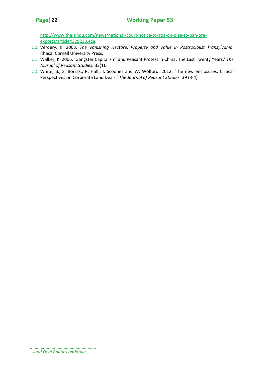http://www.theHindu.com/news/national/court-notice-to-goa-on-plea-to-ban-oreexports/article4329233.ece.

- 50. Verdery, K. 2003. *The Vanishing Hectare: Property and Value in Postsocialist Transylvania*. Ithaca: Cornell University Press.
- 51. Walker, K. 2006. 'Gangster Capitalism' and Peasant Protest in China: The Last Twenty Years.' *The Journal of Peasant Studies.* 33(1).
- 52. White, B., S. Borras., R. Hall., I. Scoones and W. Wolford. 2012. 'The new enclosures: Critical Perspectives on Corporate Land Deals.' *The Journal of Peasant Studies.* 39 (3‐4).

*Land Deal Politics Initiative*